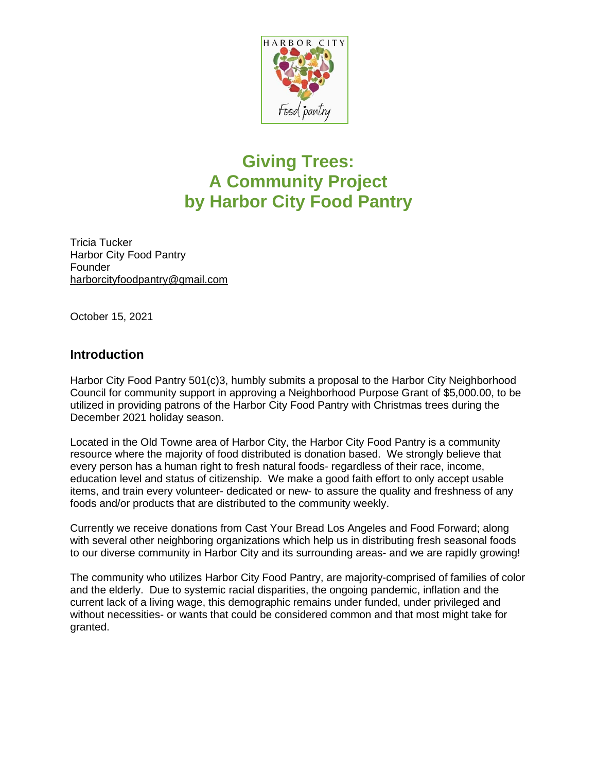

## **Giving Trees: A Community Project by Harbor City Food Pantry**

Tricia Tucker Harbor City Food Pantry Founder [harborcityfoodpantry@gmail.com](mailto:harborcityfoodpantry@gmail.com)

October 15, 2021

## **Introduction**

Harbor City Food Pantry 501(c)3, humbly submits a proposal to the Harbor City Neighborhood Council for community support in approving a Neighborhood Purpose Grant of \$5,000.00, to be utilized in providing patrons of the Harbor City Food Pantry with Christmas trees during the December 2021 holiday season.

Located in the Old Towne area of Harbor City, the Harbor City Food Pantry is a community resource where the majority of food distributed is donation based. We strongly believe that every person has a human right to fresh natural foods- regardless of their race, income, education level and status of citizenship. We make a good faith effort to only accept usable items, and train every volunteer- dedicated or new- to assure the quality and freshness of any foods and/or products that are distributed to the community weekly.

Currently we receive donations from Cast Your Bread Los Angeles and Food Forward; along with several other neighboring organizations which help us in distributing fresh seasonal foods to our diverse community in Harbor City and its surrounding areas- and we are rapidly growing!

The community who utilizes Harbor City Food Pantry, are majority-comprised of families of color and the elderly. Due to systemic racial disparities, the ongoing pandemic, inflation and the current lack of a living wage, this demographic remains under funded, under privileged and without necessities- or wants that could be considered common and that most might take for granted.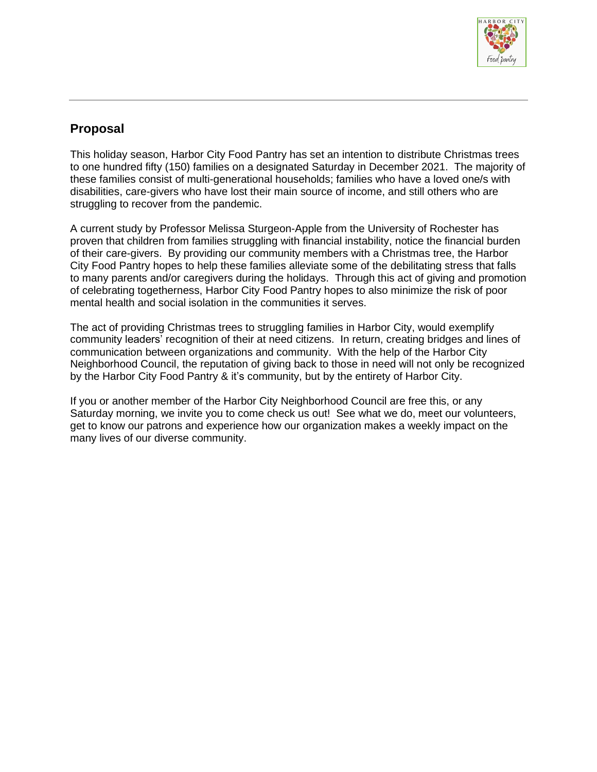

## **Proposal**

This holiday season, Harbor City Food Pantry has set an intention to distribute Christmas trees to one hundred fifty (150) families on a designated Saturday in December 2021. The majority of these families consist of multi-generational households; families who have a loved one/s with disabilities, care-givers who have lost their main source of income, and still others who are struggling to recover from the pandemic.

A current study by Professor Melissa Sturgeon-Apple from the University of Rochester has proven that children from families struggling with financial instability, notice the financial burden of their care-givers. By providing our community members with a Christmas tree, the Harbor City Food Pantry hopes to help these families alleviate some of the debilitating stress that falls to many parents and/or caregivers during the holidays. Through this act of giving and promotion of celebrating togetherness, Harbor City Food Pantry hopes to also minimize the risk of poor mental health and social isolation in the communities it serves.

The act of providing Christmas trees to struggling families in Harbor City, would exemplify community leaders' recognition of their at need citizens. In return, creating bridges and lines of communication between organizations and community. With the help of the Harbor City Neighborhood Council, the reputation of giving back to those in need will not only be recognized by the Harbor City Food Pantry & it's community, but by the entirety of Harbor City.

If you or another member of the Harbor City Neighborhood Council are free this, or any Saturday morning, we invite you to come check us out! See what we do, meet our volunteers, get to know our patrons and experience how our organization makes a weekly impact on the many lives of our diverse community.